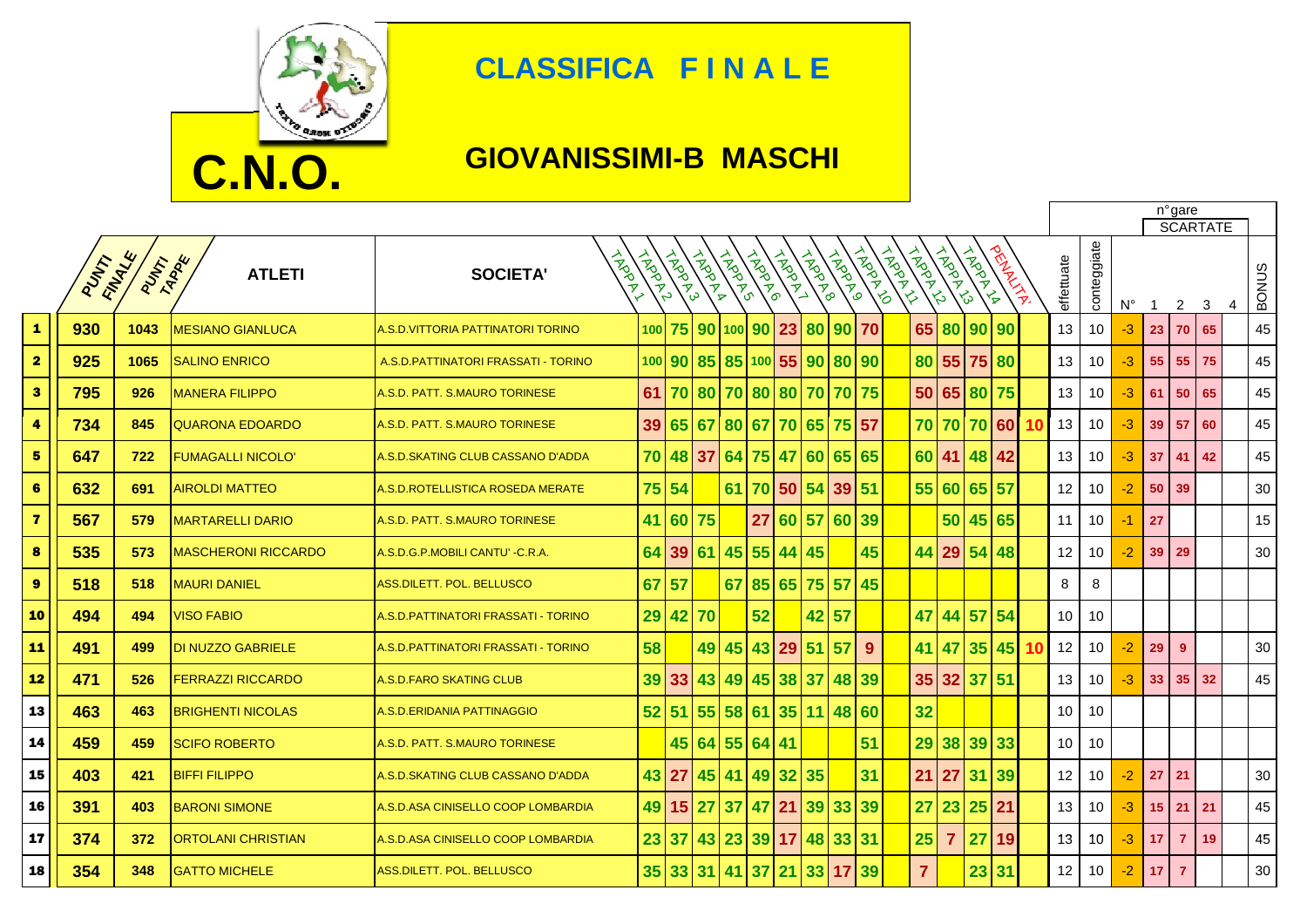

## **CLASSIFICA F I N A L E**

## **GIOVANISSIMI-B MASCHI**

|                         |      |                         |                            |                                      |               |                |                     |                |               |       |                 |                 |                |              |                | n°gare<br><b>SCARTATE</b>                 |                |              |           |            |             |             |                 |                 |    |                   |
|-------------------------|------|-------------------------|----------------------------|--------------------------------------|---------------|----------------|---------------------|----------------|---------------|-------|-----------------|-----------------|----------------|--------------|----------------|-------------------------------------------|----------------|--------------|-----------|------------|-------------|-------------|-----------------|-----------------|----|-------------------|
|                         | PUMP | FINALLE<br><b>PUTAR</b> | <b>ATLETI</b>              | TROOT<br><b>SOCIETA'</b>             | <b>HARANT</b> | <b>HARAN</b> S | <b>ANDOLF</b>       | <b>HARAN</b> S | <b>HADDRO</b> | ARDAY | <b>HARDWAY</b>  | <b>ARDRAF</b> O | <b>TROPING</b> | <b>INDOX</b> | iAgently<br>ろ  | <b>HARD</b><br>$\mathcal{L}_{\mathbf{0}}$ | <b>CASCANA</b> | <b>PRINT</b> |           | effettuate | conteggiate | $N^{\circ}$ | -1              | 2               | 3  | <b>BONUS</b><br>4 |
| $\blacktriangle$        | 930  | 1043                    | <b>MESIANO GIANLUCA</b>    | A.S.D.VITTORIA PATTINATORI TORINO    | 100           |                | 75 90 100 90        |                |               | 23    | 80              |                 | 90 70          |              | 65             | 80                                        | 90 90          |              |           | 13         | 10          | $-3$        | 23              | 70              | 65 | 45                |
| $\overline{\mathbf{2}}$ | 925  | 1065                    | <b>SALINO ENRICO</b>       | A.S.D. PATTINATORI FRASSATI - TORINO |               |                | 100 90 85 85 100 55 |                |               |       | 90 <sub>l</sub> |                 | 80 90          |              |                | 80 55 75 80                               |                |              |           | 13         | 10          | -3          | 55              | 55              | 75 | 45                |
| 3                       | 795  | 926                     | <b>MANERA FILIPPO</b>      | A.S.D. PATT. S.MAURO TORINESE        | 61            |                | 70 80               |                |               |       | 70 80 80 70     |                 | 70 75          |              |                | 50 65 80 75                               |                |              |           | 13         | 10          | -3          | 61              | 50              | 65 | 45                |
| 4                       | 734  | 845                     | <b>QUARONA EDOARDO</b>     | A.S.D. PATT. S.MAURO TORINESE        | 39            |                | 65 67               | 80             | 67            | 70    | 65              |                 | 75 57          |              |                | 70 70 70 60                               |                |              | 10        | 13         | 10          | $-3$        | 39              | 57              | 60 | 45                |
| $\overline{\mathbf{5}}$ | 647  | 722                     | <b>FUMAGALLI NICOLO'</b>   | A.S.D.SKATING CLUB CASSANO D'ADDA    |               |                | 70 48 37            | 64 75 47       |               |       | 60              |                 | 65 65          |              |                | 60 41 48 42                               |                |              |           | 13         | 10          | $-3$        | 37              | 41              | 42 | 45                |
| 6                       | 632  | 691                     | <b>AIROLDI MATTEO</b>      | A.S.D.ROTELLISTICA ROSEDA MERATE     |               | 75 54          |                     | 61             |               |       | 70 50 54 39 51  |                 |                |              |                | 55 60 65 57                               |                |              |           | 12         | 10          | $-2$        | 50              | 39              |    | 30                |
| $\overline{\mathbf{z}}$ | 567  | 579                     | <b>MARTARELLI DARIO</b>    | A.S.D. PATT. S.MAURO TORINESE        | 41            |                | 60 75               |                |               |       | 27 60 57        |                 | 60 39          |              |                | 50                                        | 45 65          |              |           | 11         | 10          | -1          | 27              |                 |    | 15                |
| 8                       | 535  | 573                     | <b>MASCHERONI RICCARDO</b> | A.S.D.G.P.MOBILI CANTU' - C.R.A.     | 64            | 39             | 61                  | 45             |               |       | 55 44 45        |                 | 45             |              |                | 44 29 54 48                               |                |              |           | 12         | 10          | $-2$        | 39 <sup>°</sup> | 29              |    | 30                |
| $\boldsymbol{9}$        | 518  | 518                     | <b>MAURI DANIEL</b>        | <b>ASS.DILETT. POL. BELLUSCO</b>     | 67            | 57             |                     | 67             |               | 85 65 |                 | 75 57           | 45             |              |                |                                           |                |              |           | 8          | 8           |             |                 |                 |    |                   |
| 10                      | 494  | 494                     | <b>VISO FABIO</b>          | A.S.D.PATTINATORI FRASSATI - TORINO  | 29            |                | 42 70               |                | 52            |       | 42              | 57              |                |              | 47             | 44                                        | 57 54          |              |           | 10         | 10          |             |                 |                 |    |                   |
| 11                      | 491  | 499                     | DI NUZZO GABRIELE          | A.S.D.PATTINATORI FRASSATI - TORINO  | 58            |                |                     | 49 45          |               | 43 29 | 51              | 57              | 9              |              | 41             | 47                                        |                | 35 45        | <b>10</b> | 12         | 10          | -2          | 29              | 9               |    | 30                |
| 12                      | 471  | 526                     | <b>FERRAZZI RICCARDO</b>   | A S.D.FARO SKATING CLUB              |               | 39 33          | 43                  | 49             | 45 38         |       | 37              |                 | 48 39          |              |                | 35 32 37 51                               |                |              |           | 13         | 10          | -3          | 33 <sub>°</sub> | 35 <sub>1</sub> | 32 | 45                |
| 13                      | 463  | 463                     | <b>BRIGHENTI NICOLAS</b>   | A.S.D.ERIDANIA PATTINAGGIO           |               |                | 52 51 55            | 58             |               |       | 61 35 11        |                 | 48 60          |              | 32             |                                           |                |              |           | 10         | 10          |             |                 |                 |    |                   |
| 14                      | 459  | 459                     | <b>SCIFO ROBERTO</b>       | A.S.D. PATT. S.MAURO TORINESE        |               |                | 45 64               |                | 55 64 41      |       |                 |                 | 51             |              | 29             | 38 39 33                                  |                |              |           | 10         | 10          |             |                 |                 |    |                   |
| 15                      | 403  | 421                     | <b>BIFFI FILIPPO</b>       | A.S.D.SKATING CLUB CASSANO D'ADDA    |               | 43 27          |                     | 45 41          |               | 49 32 | 35              |                 | 31             |              | 21             | 27                                        | 31 39          |              |           | 12         | 10          | $-2$        | 27              | 21              |    | 30                |
| 16                      | 391  | 403                     | <b>BARONI SIMONE</b>       | A.S.D.ASA CINISELLO COOP LOMBARDIA   | 49            |                | 15 27               | 37             | 47            | 21    | 39              | 33              | 39             |              | 27             | 23 25 21                                  |                |              |           | 13         | 10          | -3          | 15 <sub>1</sub> | 21 <sup>1</sup> | 21 | 45                |
| 17                      | 374  | 372                     | <b>ORTOLANI CHRISTIAN</b>  | A.S.D.ASA CINISELLO COOP LOMBARDIA   | 23            | 37             |                     | 43 23          |               |       | 39 17 48        |                 | 33 31          |              | 25             | $\overline{7}$                            | 27             | 19           |           | 13         | 10          | $-3$        | 17              | $\overline{7}$  | 19 | 45                |
| 18                      | 354  | 348                     | <b>GATTO MICHELE</b>       | ASS.DILETT. POL. BELLUSCO            | 35            |                | 33 31 41            |                |               |       | 37 21 33        | 17              | 39             |              | $\overline{7}$ |                                           | 23 31          |              |           | 12         | 10          | $-2$        | 17              | $\overline{7}$  |    | 30                |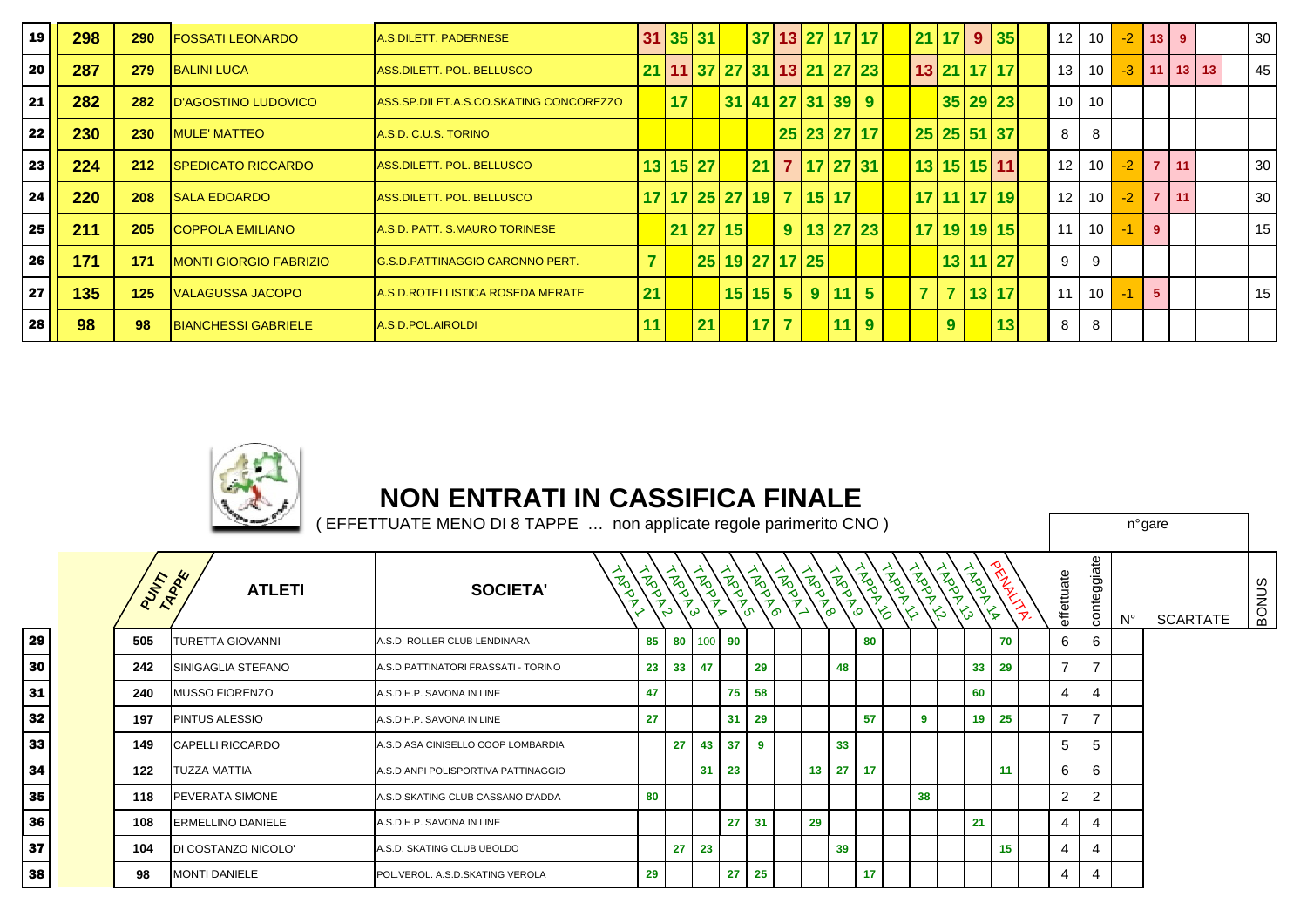| 19 | 298 | 290 | <b>FOSSATI LEONARDO</b>        | A.S.DILETT. PADERNESE                  |    |    | 31 35 31                   |                           |  |    | 37 13 27 17 17 |  | 21 17          | 9 35            | 12              | 10 <sup>1</sup> | $-2$ | 13             | 9           | 30 |
|----|-----|-----|--------------------------------|----------------------------------------|----|----|----------------------------|---------------------------|--|----|----------------|--|----------------|-----------------|-----------------|-----------------|------|----------------|-------------|----|
| 20 | 287 | 279 | <b>BALINI LUCA</b>             | ASS.DILETT. POL. BELLUSCO              |    |    | 21 11 37 27 31 13 21 27 23 |                           |  |    |                |  |                | 13 21 17 17     | 13              | 10 <sup>1</sup> | $-3$ |                | $11$ 13 13  | 45 |
| 21 | 282 | 282 | <b>ID'AGOSTINO LUDOVICO</b>    | ASS.SP.DILET.A.S.CO.SKATING CONCOREZZO |    | 17 |                            | 31 41 27 31 39 9          |  |    |                |  |                | 35 29 23        | 10 <sup>1</sup> | 10              |      |                |             |    |
| 22 | 230 | 230 | <b>MULE' MATTEO</b>            | A.S.D. C.U.S. TORINO                   |    |    |                            |                           |  |    | 25 23 27 17    |  |                | 25 25 51 37     | 8               | 8               |      |                |             |    |
| 23 | 224 | 212 | <b>ISPEDICATO RICCARDO</b>     | ASS.DILETT. POL. BELLUSCO              |    |    | 13 15 27                   |                           |  |    | 21 7 17 27 31  |  |                | 13 15 15 11     | 12              | 10 <sup>1</sup> | $-2$ |                | $7 \mid 11$ | 30 |
| 24 | 220 | 208 | <b>ISALA EDOARDO</b>           | ASS.DILETT. POL. BELLUSCO              |    |    | 17 17 25 27 19 7 15 17     |                           |  |    |                |  |                | 17 11 17 19     | 12              | 10 <sup>1</sup> | $-2$ | $\overline{7}$ | 111         | 30 |
| 25 | 211 | 205 | <b>COPPOLA EMILIANO</b>        | A.S.D. PATT. S.MAURO TORINESE          |    |    | 21 27 15                   |                           |  |    | 9 13 27 23     |  |                | 17 19 19 15     | 11              | 10 <sup>1</sup> | $-1$ | -9             |             | 15 |
| 26 | 171 | 171 | <b>IMONTI GIORGIO FABRIZIO</b> | <b>G.S.D.PATTINAGGIO CARONNO PERT.</b> |    |    |                            | 25 19 27 17 25            |  |    |                |  |                | 13 11 27        | 9               | 9               |      |                |             |    |
| 27 | 135 | 125 | <b>IVALAGUSSA JACOPO</b>       | A.S.D.ROTELLISTICA ROSEDA MERATE       | 21 |    |                            | $15$   15  5   9   11   5 |  |    |                |  |                | 7 7 13 17       | 11              | 10 <sup>1</sup> | $-1$ | -5             |             | 15 |
| 28 | 98  | 98  | <b>BIANCHESSI GABRIELE</b>     | A.S.D.POL.AIROLDI                      |    |    | 21                         | $17$ 7                    |  | 11 | $\overline{9}$ |  | 9 <sup>°</sup> | 13 <sub>l</sub> | 8               | 8               |      |                |             |    |



## **NON ENTRATI IN CASSIFICA FINALE**

|     |         | <b>County</b>            | EFFETTUATE MENO DI 8 TAPPE  non applicate regole parimerito CNO) |              |                 |                                                                                                                                                                                                                                                                                                                                                                                                                        |                 |         |    |          |      |                    |                                                        |                  |                         |                |                |             | n°gare          |              |
|-----|---------|--------------------------|------------------------------------------------------------------|--------------|-----------------|------------------------------------------------------------------------------------------------------------------------------------------------------------------------------------------------------------------------------------------------------------------------------------------------------------------------------------------------------------------------------------------------------------------------|-----------------|---------|----|----------|------|--------------------|--------------------------------------------------------|------------------|-------------------------|----------------|----------------|-------------|-----------------|--------------|
|     | PUTTARK | <b>ATLETI</b>            | <b>INST</b><br><b>SOCIETA'</b>                                   | Reperts<br>ァ |                 | $\begin{pmatrix} \frac{1}{2} & \frac{1}{2} & \frac{1}{2} & \frac{1}{2} & \frac{1}{2} \\ \frac{1}{2} & \frac{1}{2} & \frac{1}{2} & \frac{1}{2} & \frac{1}{2} \\ \frac{1}{2} & \frac{1}{2} & \frac{1}{2} & \frac{1}{2} & \frac{1}{2} \end{pmatrix} \begin{pmatrix} \frac{1}{2} & \frac{1}{2} & \frac{1}{2} & \frac{1}{2} \\ \frac{1}{2} & \frac{1}{2} & \frac{1}{2} & \frac{1}{2} \\ \frac{1}{2} & \frac{1}{2} & \frac{$ |                 |         |    |          | ROAD | る<br>$\rightarrow$ | <b>POLIT</b><br>$\frac{1}{3}$ $\frac{1}{3}$<br>$\zeta$ | <b>ADD</b><br>`స | <b>WALLAN</b><br>$\leq$ | effettuate     | nteggiate<br>g | $N^{\circ}$ | <b>SCARTATE</b> | <b>BONUS</b> |
| 9 l | 505     | <b>TURETTA GIOVANNI</b>  | A.S.D. ROLLER CLUB LENDINARA                                     | 85 I         |                 | 80 100 90                                                                                                                                                                                                                                                                                                                                                                                                              |                 |         |    |          | 80   |                    |                                                        |                  | 70                      | 6              | 6              |             |                 |              |
| 0 I | 242     | SINIGAGLIA STEFANO       | A.S.D.PATTINATORI FRASSATI - TORINO                              | 23           | 33 <sup>1</sup> | $\overline{47}$                                                                                                                                                                                                                                                                                                                                                                                                        |                 | 29      |    | 48       |      |                    |                                                        | 33 <sup>1</sup>  | 29                      | $\overline{7}$ | $\overline{7}$ |             |                 |              |
|     | 240     | <b>MUSSO FIORENZO</b>    | A.S.D.H.P. SAVONA IN LINE                                        | 47           |                 |                                                                                                                                                                                                                                                                                                                                                                                                                        | 75 <sub>1</sub> | 58      |    |          |      |                    |                                                        | 60               |                         | 4              | 4              |             |                 |              |
|     | 197     | <b>PINTUS ALESSIO</b>    | A.S.D.H.P. SAVONA IN LINE                                        | 27           |                 |                                                                                                                                                                                                                                                                                                                                                                                                                        | 31              | 29      |    |          | 57   |                    | -9                                                     | 19 <sup>1</sup>  | 25                      | $\overline{7}$ | 7              |             |                 |              |
| 3   | 149     | <b>CAPELLI RICCARDO</b>  | A.S.D.ASA CINISELLO COOP LOMBARDIA                               |              | 27              | 43                                                                                                                                                                                                                                                                                                                                                                                                                     | 37              | 9       |    | 33       |      |                    |                                                        |                  |                         | 5              | 5              |             |                 |              |
|     | 122     | <b>TUZZA MATTIA</b>      | A.S.D.ANPI POLISPORTIVA PATTINAGGIO                              |              |                 | 31                                                                                                                                                                                                                                                                                                                                                                                                                     | 23              |         |    | 13 27 17 |      |                    |                                                        |                  | 11                      | 6              | 6              |             |                 |              |
| 5   | 118     | <b>PEVERATA SIMONE</b>   | A.S.D. SKATING CLUB CASSANO D'ADDA                               | 80           |                 |                                                                                                                                                                                                                                                                                                                                                                                                                        |                 |         |    |          |      |                    | 38                                                     |                  |                         | $\overline{2}$ | $\overline{2}$ |             |                 |              |
| 6   | 108     | <b>ERMELLINO DANIELE</b> | A.S.D.H.P. SAVONA IN LINE                                        |              |                 |                                                                                                                                                                                                                                                                                                                                                                                                                        |                 | $27$ 31 | 29 |          |      |                    |                                                        | 21               |                         | $\overline{4}$ | 4              |             |                 |              |
|     | 104     | DI COSTANZO NICOLO'      | A.S.D. SKATING CLUB UBOLDO                                       |              | 27              | 23                                                                                                                                                                                                                                                                                                                                                                                                                     |                 |         |    | 39       |      |                    |                                                        |                  | 15 <sub>1</sub>         | 4              | 4              |             |                 |              |
|     | 98      | <b>MONTI DANIELE</b>     | POL.VEROL. A.S.D.SKATING VEROLA                                  | 29           |                 |                                                                                                                                                                                                                                                                                                                                                                                                                        | 27 <sub>2</sub> | 25      |    |          | 17   |                    |                                                        |                  |                         | 4              | 4              |             |                 |              |

29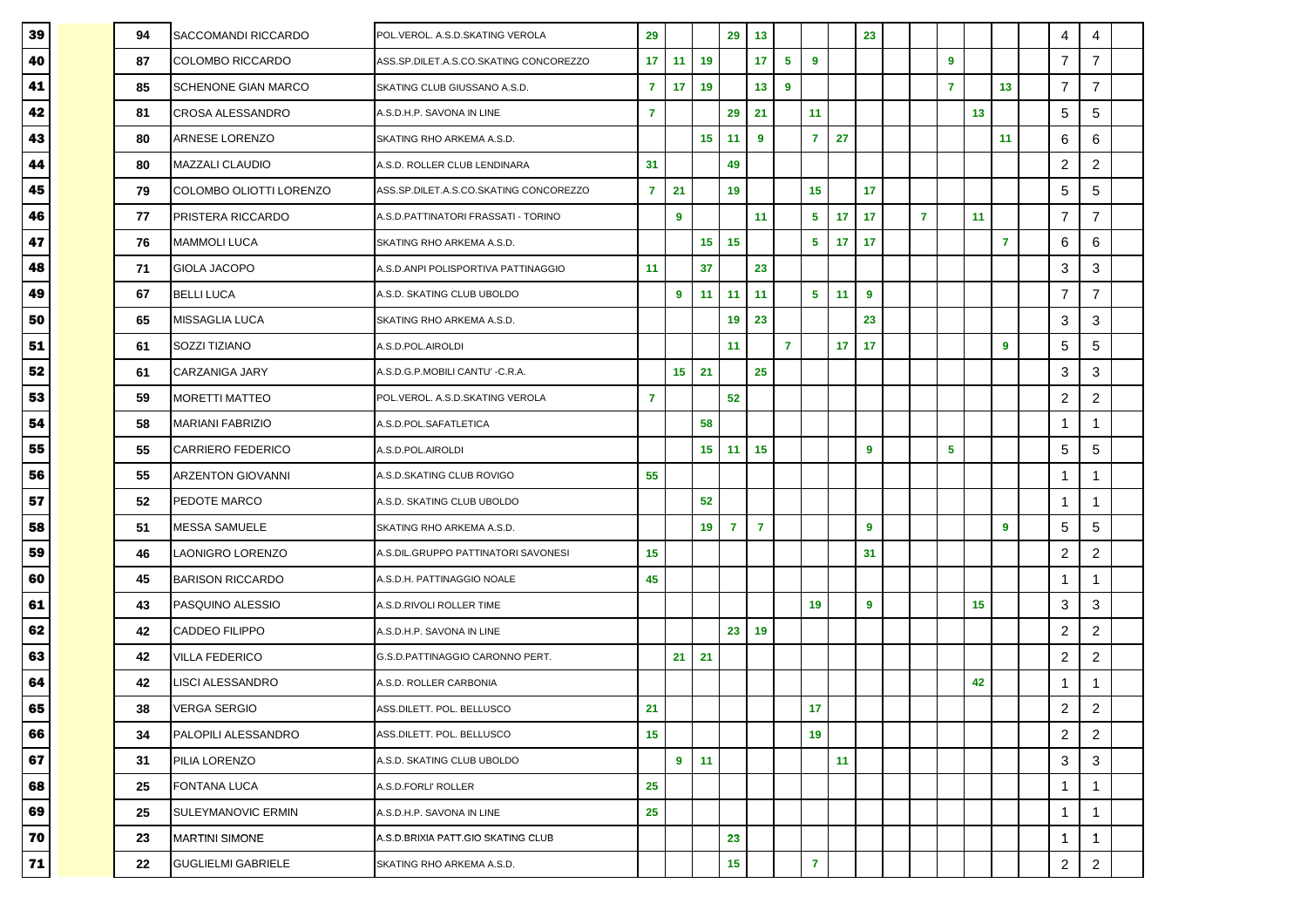| 39 | 94 | SACCOMANDI RICCARDO        | POL.VEROL. A.S.D.SKATING VEROLA        | 29              |    |    | 29             | 13             |                |                |    | 23               |                |                |    |                | 4              | 4                |  |
|----|----|----------------------------|----------------------------------------|-----------------|----|----|----------------|----------------|----------------|----------------|----|------------------|----------------|----------------|----|----------------|----------------|------------------|--|
| 40 | 87 | COLOMBO RICCARDO           | ASS.SP.DILET.A.S.CO.SKATING CONCOREZZO | 17 <sub>2</sub> | 11 | 19 |                | 17             | 5              | 9              |    |                  |                | 9              |    |                | $\overline{7}$ | $\overline{7}$   |  |
| 41 | 85 | <b>SCHENONE GIAN MARCO</b> | SKATING CLUB GIUSSANO A.S.D.           | $\overline{7}$  | 17 | 19 |                | 13             | $\overline{9}$ |                |    |                  |                | $\overline{7}$ |    | 13             | $\overline{7}$ | $\overline{7}$   |  |
| 42 | 81 | CROSA ALESSANDRO           | A.S.D.H.P. SAVONA IN LINE              | $\overline{7}$  |    |    | 29             | 21             |                | 11             |    |                  |                |                | 13 |                | 5              | 5                |  |
| 43 | 80 | <b>ARNESE LORENZO</b>      | SKATING RHO ARKEMA A.S.D.              |                 |    | 15 | 11             | 9              |                | $\overline{7}$ | 27 |                  |                |                |    | 11             | 6              | 6                |  |
| 44 | 80 | <b>MAZZALI CLAUDIO</b>     | A.S.D. ROLLER CLUB LENDINARA           | 31              |    |    | 49             |                |                |                |    |                  |                |                |    |                | $\sqrt{2}$     | $\boldsymbol{2}$ |  |
| 45 | 79 | COLOMBO OLIOTTI LORENZO    | ASS.SP.DILET.A.S.CO.SKATING CONCOREZZO | $\overline{7}$  | 21 |    | 19             |                |                | 15             |    | 17               |                |                |    |                | 5              | 5                |  |
| 46 | 77 | PRISTERA RICCARDO          | A.S.D.PATTINATORI FRASSATI - TORINO    |                 | 9  |    |                | 11             |                | 5              | 17 | 17               | $\overline{7}$ |                | 11 |                | $\overline{7}$ | $\overline{7}$   |  |
| 47 | 76 | <b>MAMMOLI LUCA</b>        | SKATING RHO ARKEMA A.S.D.              |                 |    | 15 | 15             |                |                | 5              | 17 | 17               |                |                |    | $\overline{7}$ | 6              | 6                |  |
| 48 | 71 | GIOLA JACOPO               | A.S.D.ANPI POLISPORTIVA PATTINAGGIO    | 11              |    | 37 |                | 23             |                |                |    |                  |                |                |    |                | 3              | 3                |  |
| 49 | 67 | <b>BELLI LUCA</b>          | A.S.D. SKATING CLUB UBOLDO             |                 | 9  | 11 | 11             | 11             |                | 5              | 11 | 9                |                |                |    |                | $\overline{7}$ | $\overline{7}$   |  |
| 50 | 65 | MISSAGLIA LUCA             | SKATING RHO ARKEMA A.S.D.              |                 |    |    | 19             | 23             |                |                |    | 23               |                |                |    |                | 3              | 3                |  |
| 51 | 61 | SOZZI TIZIANO              | A.S.D.POL.AIROLDI                      |                 |    |    | 11             |                | $\overline{7}$ |                | 17 | 17               |                |                |    | 9              | 5              | 5                |  |
| 52 | 61 | <b>CARZANIGA JARY</b>      | A.S.D.G.P.MOBILI CANTU' -C.R.A.        |                 | 15 | 21 |                | 25             |                |                |    |                  |                |                |    |                | 3              | 3                |  |
| 53 | 59 | <b>MORETTI MATTEO</b>      | POL.VEROL. A.S.D.SKATING VEROLA        | $\overline{7}$  |    |    | 52             |                |                |                |    |                  |                |                |    |                | $\sqrt{2}$     | $\overline{2}$   |  |
| 54 | 58 | <b>MARIANI FABRIZIO</b>    | A.S.D.POL.SAFATLETICA                  |                 |    | 58 |                |                |                |                |    |                  |                |                |    |                | $\mathbf 1$    | 1                |  |
| 55 | 55 | <b>CARRIERO FEDERICO</b>   | A.S.D.POL.AIROLDI                      |                 |    | 15 | 11             | 15             |                |                |    | 9                |                | 5              |    |                | 5              | 5                |  |
| 56 | 55 | <b>ARZENTON GIOVANNI</b>   | A.S.D.SKATING CLUB ROVIGO              | 55              |    |    |                |                |                |                |    |                  |                |                |    |                | $\mathbf 1$    | 1                |  |
| 57 | 52 | PEDOTE MARCO               | A.S.D. SKATING CLUB UBOLDO             |                 |    | 52 |                |                |                |                |    |                  |                |                |    |                | $\mathbf 1$    | 1                |  |
| 58 | 51 | MESSA SAMUELE              | SKATING RHO ARKEMA A.S.D.              |                 |    | 19 | $\overline{7}$ | $\overline{7}$ |                |                |    | 9                |                |                |    | 9              | 5              | 5                |  |
| 59 | 46 | LAONIGRO LORENZO           | A.S.DIL.GRUPPO PATTINATORI SAVONESI    | 15              |    |    |                |                |                |                |    | 31               |                |                |    |                | $\overline{c}$ | $\overline{c}$   |  |
| 60 | 45 | <b>BARISON RICCARDO</b>    | A.S.D.H. PATTINAGGIO NOALE             | 45              |    |    |                |                |                |                |    |                  |                |                |    |                | $\mathbf{1}$   | 1                |  |
| 61 | 43 | PASQUINO ALESSIO           | A.S.D.RIVOLI ROLLER TIME               |                 |    |    |                |                |                | 19             |    | $\boldsymbol{9}$ |                |                | 15 |                | 3              | 3                |  |
| 62 | 42 | <b>CADDEO FILIPPO</b>      | A.S.D.H.P. SAVONA IN LINE              |                 |    |    | 23             | 19             |                |                |    |                  |                |                |    |                | $\sqrt{2}$     | $\sqrt{2}$       |  |
| 63 | 42 | <b>VILLA FEDERICO</b>      | G.S.D.PATTINAGGIO CARONNO PERT.        |                 | 21 | 21 |                |                |                |                |    |                  |                |                |    |                | $\overline{c}$ | $\overline{c}$   |  |
| 64 | 42 | <b>ISCI ALESSANDRO</b>     | A.S.D. ROLLER CARBONIA                 |                 |    |    |                |                |                |                |    |                  |                |                | 42 |                | $\mathbf 1$    | 1                |  |
| 65 | 38 | VERGA SERGIO               | ASS.DILETT. POL. BELLUSCO              | 21              |    |    |                |                |                | 17             |    |                  |                |                |    |                | $\sqrt{2}$     | $\boldsymbol{2}$ |  |
| 66 | 34 | PALOPILI ALESSANDRO        | ASS.DILETT. POL. BELLUSCO              | 15              |    |    |                |                |                | 19             |    |                  |                |                |    |                | $\sqrt{2}$     | $\overline{2}$   |  |
| 67 | 31 | PILIA LORENZO              | A.S.D. SKATING CLUB UBOLDO             |                 | 9  | 11 |                |                |                |                | 11 |                  |                |                |    |                | 3              | 3                |  |
| 68 | 25 | FONTANA LUCA               | A.S.D.FORLI' ROLLER                    | 25              |    |    |                |                |                |                |    |                  |                |                |    |                | $\mathbf{1}$   | 1                |  |
| 69 | 25 | <b>SULEYMANOVIC ERMIN</b>  | A.S.D.H.P. SAVONA IN LINE              | 25              |    |    |                |                |                |                |    |                  |                |                |    |                | $\mathbf{1}$   | 1                |  |
| 70 | 23 | <b>MARTINI SIMONE</b>      | A.S.D.BRIXIA PATT.GIO SKATING CLUB     |                 |    |    | 23             |                |                |                |    |                  |                |                |    |                | $\mathbf{1}$   | 1                |  |
| 71 | 22 | <b>GUGLIELMI GABRIELE</b>  | SKATING RHO ARKEMA A.S.D.              |                 |    |    | 15             |                |                | $\mathbf{7}$   |    |                  |                |                |    |                | $\overline{c}$ | $\boldsymbol{2}$ |  |